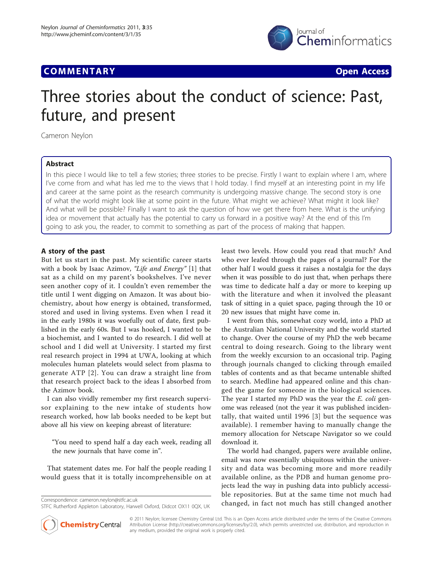# **COMMENTARY COMMENTARY Open Access**



# Three stories about the conduct of science: Past, future, and present

Cameron Neylon

## Abstract

In this piece I would like to tell a few stories; three stories to be precise. Firstly I want to explain where I am, where I've come from and what has led me to the views that I hold today. I find myself at an interesting point in my life and career at the same point as the research community is undergoing massive change. The second story is one of what the world might look like at some point in the future. What might we achieve? What might it look like? And what will be possible? Finally I want to ask the question of how we get there from here. What is the unifying idea or movement that actually has the potential to carry us forward in a positive way? At the end of this I'm going to ask you, the reader, to commit to something as part of the process of making that happen.

## A story of the past

But let us start in the past. My scientific career starts with a book by Isaac Azimov, "Life and Energy" [[1\]](#page-5-0) that sat as a child on my parent's bookshelves. I've never seen another copy of it. I couldn't even remember the title until I went digging on Amazon. It was about biochemistry, about how energy is obtained, transformed, stored and used in living systems. Even when I read it in the early 1980s it was woefully out of date, first published in the early 60s. But I was hooked, I wanted to be a biochemist, and I wanted to do research. I did well at school and I did well at University. I started my first real research project in 1994 at UWA, looking at which molecules human platelets would select from plasma to generate ATP [[2\]](#page-5-0). You can draw a straight line from that research project back to the ideas I absorbed from the Azimov book.

I can also vividly remember my first research supervisor explaining to the new intake of students how research worked, how lab books needed to be kept but above all his view on keeping abreast of literature:

"You need to spend half a day each week, reading all the new journals that have come in".

That statement dates me. For half the people reading I would guess that it is totally incomprehensible on at

least two levels. How could you read that much? And who ever leafed through the pages of a journal? For the other half I would guess it raises a nostalgia for the days when it was possible to do just that, when perhaps there was time to dedicate half a day or more to keeping up with the literature and when it involved the pleasant task of sitting in a quiet space, paging through the 10 or 20 new issues that might have come in.

I went from this, somewhat cozy world, into a PhD at the Australian National University and the world started to change. Over the course of my PhD the web became central to doing research. Going to the library went from the weekly excursion to an occasional trip. Paging through journals changed to clicking through emailed tables of contents and as that became untenable shifted to search. Medline had appeared online and this changed the game for someone in the biological sciences. The year I started my PhD was the year the E. coli genome was released (not the year it was published incidentally, that waited until 1996 [[3\]](#page-5-0) but the sequence was available). I remember having to manually change the memory allocation for Netscape Navigator so we could download it.

The world had changed, papers were available online, email was now essentially ubiquitous within the university and data was becoming more and more readily available online, as the PDB and human genome projects lead the way in pushing data into publicly accessible repositories. But at the same time not much had Correspondence: [cameron.neylon@stfc.ac.uk](mailto:cameron.neylon@stfc.ac.uk)<br>STEC Buthorford Appleton Unbertony Hanyoll Oxford Didget OX11.00X UK changed, in fact not much has still changed another



© 2011 Neylon; licensee Chemistry Central Ltd. This is an Open Access article distributed under the terms of the Creative Commons Attribution License [\(http://creativecommons.org/licenses/by/2.0](http://creativecommons.org/licenses/by/2.0)), which permits unrestricted use, distribution, and reproduction in any medium, provided the original work is properly cited.

STFC Rutherford Appleton Laboratory, Harwell Oxford, Didcot OX11 0QX, UK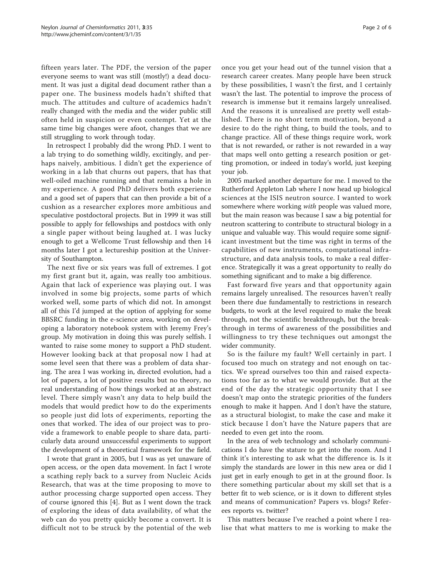fifteen years later. The PDF, the version of the paper everyone seems to want was still (mostly!) a dead document. It was just a digital dead document rather than a paper one. The business models hadn't shifted that much. The attitudes and culture of academics hadn't really changed with the media and the wider public still often held in suspicion or even contempt. Yet at the same time big changes were afoot, changes that we are still struggling to work through today.

In retrospect I probably did the wrong PhD. I went to a lab trying to do something wildly, excitingly, and perhaps naively, ambitious. I didn't get the experience of working in a lab that churns out papers, that has that well-oiled machine running and that remains a hole in my experience. A good PhD delivers both experience and a good set of papers that can then provide a bit of a cushion as a researcher explores more ambitious and speculative postdoctoral projects. But in 1999 it was still possible to apply for fellowships and postdocs with only a single paper without being laughed at. I was lucky enough to get a Wellcome Trust fellowship and then 14 months later I got a lectureship position at the University of Southampton.

The next five or six years was full of extremes. I got my first grant but it, again, was really too ambitious. Again that lack of experience was playing out. I was involved in some big projects, some parts of which worked well, some parts of which did not. In amongst all of this I'd jumped at the option of applying for some BBSRC funding in the e-science area, working on developing a laboratory notebook system with Jeremy Frey's group. My motivation in doing this was purely selfish. I wanted to raise some money to support a PhD student. However looking back at that proposal now I had at some level seen that there was a problem of data sharing. The area I was working in, directed evolution, had a lot of papers, a lot of positive results but no theory, no real understanding of how things worked at an abstract level. There simply wasn't any data to help build the models that would predict how to do the experiments so people just did lots of experiments, reporting the ones that worked. The idea of our project was to provide a framework to enable people to share data, particularly data around unsuccessful experiments to support the development of a theoretical framework for the field.

I wrote that grant in 2005, but I was as yet unaware of open access, or the open data movement. In fact I wrote a scathing reply back to a survey from Nucleic Acids Research, that was at the time proposing to move to author processing charge supported open access. They of course ignored this [\[4](#page-5-0)]. But as I went down the track of exploring the ideas of data availability, of what the web can do you pretty quickly become a convert. It is difficult not to be struck by the potential of the web

once you get your head out of the tunnel vision that a research career creates. Many people have been struck by these possibilities, I wasn't the first, and I certainly wasn't the last. The potential to improve the process of research is immense but it remains largely unrealised. And the reasons it is unrealised are pretty well established. There is no short term motivation, beyond a desire to do the right thing, to build the tools, and to change practice. All of these things require work, work that is not rewarded, or rather is not rewarded in a way that maps well onto getting a research position or getting promotion, or indeed in today's world, just keeping your job.

2005 marked another departure for me. I moved to the Rutherford Appleton Lab where I now head up biological sciences at the ISIS neutron source. I wanted to work somewhere where working *with* people was valued more, but the main reason was because I saw a big potential for neutron scattering to contribute to structural biology in a unique and valuable way. This would require some significant investment but the time was right in terms of the capabilities of new instruments, computational infrastructure, and data analysis tools, to make a real difference. Strategically it was a great opportunity to really do something significant and to make a big difference.

Fast forward five years and that opportunity again remains largely unrealised. The resources haven't really been there due fundamentally to restrictions in research budgets, to work at the level required to make the break through, not the scientific breakthrough, but the breakthrough in terms of awareness of the possibilities and willingness to try these techniques out amongst the wider community.

So is the failure my fault? Well certainly in part. I focused too much on strategy and not enough on tactics. We spread ourselves too thin and raised expectations too far as to what we would provide. But at the end of the day the strategic opportunity that I see doesn't map onto the strategic priorities of the funders enough to make it happen. And I don't have the stature, as a structural biologist, to make the case and make it stick because I don't have the Nature papers that are needed to even get into the room.

In the area of web technology and scholarly communications I do have the stature to get into the room. And I think it's interesting to ask what the difference is. Is it simply the standards are lower in this new area or did I just get in early enough to get in at the ground floor. Is there something particular about my skill set that is a better fit to web science, or is it down to different styles and means of communication? Papers vs. blogs? Referees reports vs. twitter?

This matters because I've reached a point where I realise that what matters to me is working to make the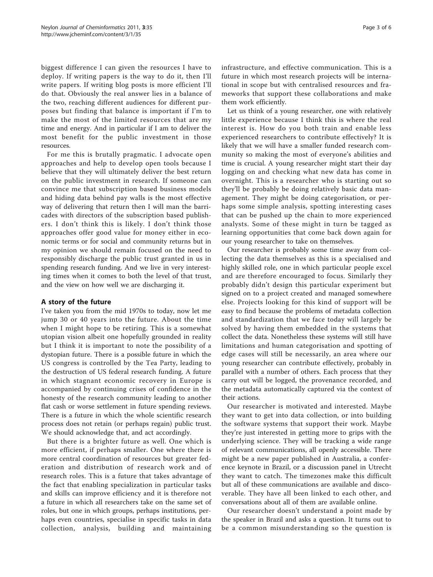biggest difference I can given the resources I have to deploy. If writing papers is the way to do it, then I'll write papers. If writing blog posts is more efficient I'll do that. Obviously the real answer lies in a balance of the two, reaching different audiences for different purposes but finding that balance is important if I'm to make the most of the limited resources that are my time and energy. And in particular if I am to deliver the most benefit for the public investment in those resources.

For me this is brutally pragmatic. I advocate open approaches and help to develop open tools because I believe that they will ultimately deliver the best return on the public investment in research. If someone can convince me that subscription based business models and hiding data behind pay walls is the most effective way of delivering that return then I will man the barricades with directors of the subscription based publishers. I don't think this is likely. I don't think those approaches offer good value for money either in economic terms or for social and community returns but in my opinion we should remain focused on the need to responsibly discharge the public trust granted in us in spending research funding. And we live in very interesting times when it comes to both the level of that trust, and the view on how well we are discharging it.

### A story of the future

I've taken you from the mid 1970s to today, now let me jump 30 or 40 years into the future. About the time when I might hope to be retiring. This is a somewhat utopian vision albeit one hopefully grounded in reality but I think it is important to note the possibility of a dystopian future. There is a possible future in which the US congress is controlled by the Tea Party, leading to the destruction of US federal research funding. A future in which stagnant economic recovery in Europe is accompanied by continuing crises of confidence in the honesty of the research community leading to another flat cash or worse settlement in future spending reviews. There is a future in which the whole scientific research process does not retain (or perhaps regain) public trust. We should acknowledge that, and act accordingly.

But there is a brighter future as well. One which is more efficient, if perhaps smaller. One where there is more central coordination of resources but greater federation and distribution of research work and of research roles. This is a future that takes advantage of the fact that enabling specialization in particular tasks and skills can improve efficiency and it is therefore not a future in which all researchers take on the same set of roles, but one in which groups, perhaps institutions, perhaps even countries, specialise in specific tasks in data collection, analysis, building and maintaining

infrastructure, and effective communication. This is a future in which most research projects will be international in scope but with centralised resources and frameworks that support these collaborations and make them work efficiently.

Let us think of a young researcher, one with relatively little experience because I think this is where the real interest is. How do you both train and enable less experienced researchers to contribute effectively? It is likely that we will have a smaller funded research community so making the most of everyone's abilities and time is crucial. A young researcher might start their day logging on and checking what new data has come in overnight. This is a researcher who is starting out so they'll be probably be doing relatively basic data management. They might be doing categorisation, or perhaps some simple analysis, spotting interesting cases that can be pushed up the chain to more experienced analysts. Some of these might in turn be tagged as learning opportunities that come back down again for our young researcher to take on themselves.

Our researcher is probably some time away from collecting the data themselves as this is a specialised and highly skilled role, one in which particular people excel and are therefore encouraged to focus. Similarly they probably didn't design this particular experiment but signed on to a project created and managed somewhere else. Projects looking for this kind of support will be easy to find because the problems of metadata collection and standardization that we face today will largely be solved by having them embedded in the systems that collect the data. Nonetheless these systems will still have limitations and human categorisation and spotting of edge cases will still be necessarily, an area where our young researcher can contribute effectively, probably in parallel with a number of others. Each process that they carry out will be logged, the provenance recorded, and the metadata automatically captured via the context of their actions.

Our researcher is motivated and interested. Maybe they want to get into data collection, or into building the software systems that support their work. Maybe they're just interested in getting more to grips with the underlying science. They will be tracking a wide range of relevant communications, all openly accessible. There might be a new paper published in Australia, a conference keynote in Brazil, or a discussion panel in Utrecht they want to catch. The timezones make this difficult but all of these communications are available and discoverable. They have all been linked to each other, and conversations about all of them are available online.

Our researcher doesn't understand a point made by the speaker in Brazil and asks a question. It turns out to be a common misunderstanding so the question is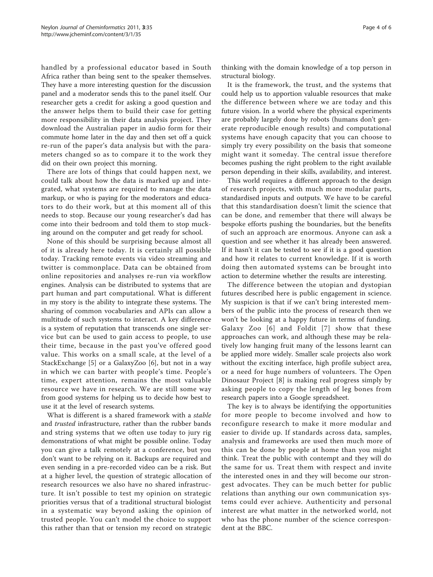handled by a professional educator based in South Africa rather than being sent to the speaker themselves. They have a more interesting question for the discussion panel and a moderator sends this to the panel itself. Our researcher gets a credit for asking a good question and the answer helps them to build their case for getting more responsibility in their data analysis project. They download the Australian paper in audio form for their commute home later in the day and then set off a quick re-run of the paper's data analysis but with the parameters changed so as to compare it to the work they did on their own project this morning.

There are lots of things that could happen next, we could talk about how the data is marked up and integrated, what systems are required to manage the data markup, or who is paying for the moderators and educators to do their work, but at this moment all of this needs to stop. Because our young researcher's dad has come into their bedroom and told them to stop mucking around on the computer and get ready for school.

None of this should be surprising because almost all of it is already here today. It is certainly all possible today. Tracking remote events via video streaming and twitter is commonplace. Data can be obtained from online repositories and analyses re-run via workflow engines. Analysis can be distributed to systems that are part human and part computational. What is different in my story is the ability to integrate these systems. The sharing of common vocabularies and APIs can allow a multitude of such systems to interact. A key difference is a system of reputation that transcends one single service but can be used to gain access to people, to use their time, because in the past you've offered good value. This works on a small scale, at the level of a StackExchange [[5\]](#page-5-0) or a GalaxyZoo [[6](#page-5-0)], but not in a way in which we can barter with people's time. People's time, expert attention, remains the most valuable resource we have in research. We are still some way from good systems for helping us to decide how best to use it at the level of research systems.

What is different is a shared framework with a *stable* and trusted infrastructure, rather than the rubber bands and string systems that we often use today to jury rig demonstrations of what might be possible online. Today you can give a talk remotely at a conference, but you don't want to be relying on it. Backups are required and even sending in a pre-recorded video can be a risk. But at a higher level, the question of strategic allocation of research resources we also have no shared infrastructure. It isn't possible to test my opinion on strategic priorities versus that of a traditional structural biologist in a systematic way beyond asking the opinion of trusted people. You can't model the choice to support this rather than that or tension my record on strategic

thinking with the domain knowledge of a top person in structural biology.

It is the framework, the trust, and the systems that could help us to apportion valuable resources that make the difference between where we are today and this future vision. In a world where the physical experiments are probably largely done by robots (humans don't generate reproducible enough results) and computational systems have enough capacity that you can choose to simply try every possibility on the basis that someone might want it someday. The central issue therefore becomes pushing the right problem to the right available person depending in their skills, availability, and interest.

This world requires a different approach to the design of research projects, with much more modular parts, standardised inputs and outputs. We have to be careful that this standardisation doesn't limit the science that can be done, and remember that there will always be bespoke efforts pushing the boundaries, but the benefits of such an approach are enormous. Anyone can ask a question and see whether it has already been answered. If it hasn't it can be tested to see if it is a good question and how it relates to current knowledge. If it is worth doing then automated systems can be brought into action to determine whether the results are interesting.

The difference between the utopian and dystopian futures described here is public engagement in science. My suspicion is that if we can't bring interested members of the public into the process of research then we won't be looking at a happy future in terms of funding. Galaxy Zoo [[6](#page-5-0)] and Foldit [[7](#page-5-0)] show that these approaches can work, and although these may be relatively low hanging fruit many of the lessons learnt can be applied more widely. Smaller scale projects also work without the exciting interface, high profile subject area, or a need for huge numbers of volunteers. The Open Dinosaur Project [\[8](#page-5-0)] is making real progress simply by asking people to copy the length of leg bones from research papers into a Google spreadsheet.

The key is to always be identifying the opportunities for more people to become involved and how to reconfigure research to make it more modular and easier to divide up. If standards across data, samples, analysis and frameworks are used then much more of this can be done by people at home than you might think. Treat the public with contempt and they will do the same for us. Treat them with respect and invite the interested ones in and they will become our strongest advocates. They can be much better for public relations than anything our own communication systems could ever achieve. Authenticity and personal interest are what matter in the networked world, not who has the phone number of the science correspondent at the BBC.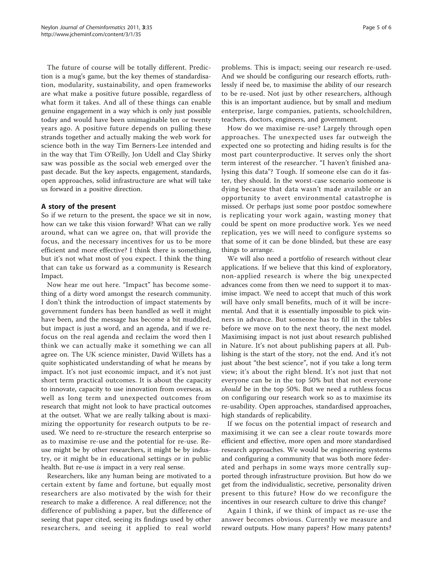The future of course will be totally different. Prediction is a mug's game, but the key themes of standardisation, modularity, sustainability, and open frameworks are what make a positive future possible, regardless of what form it takes. And all of these things can enable genuine engagement in a way which is only just possible today and would have been unimaginable ten or twenty years ago. A positive future depends on pulling these strands together and actually making the web work for science both in the way Tim Berners-Lee intended and in the way that Tim O'Reilly, Jon Udell and Clay Shirky saw was possible as the social web emerged over the past decade. But the key aspects, engagement, standards, open approaches, solid infrastructure are what will take us forward in a positive direction.

### A story of the present

So if we return to the present, the space we sit in now, how can we take this vision forward? What can we rally around, what can we agree on, that will provide the focus, and the necessary incentives for us to be more efficient and more effective? I think there is something, but it's not what most of you expect. I think the thing that can take us forward as a community is Research Impact.

Now hear me out here. "Impact" has become something of a dirty word amongst the research community. I don't think the introduction of impact statements by government funders has been handled as well it might have been, and the message has become a bit muddled, but impact is just a word, and an agenda, and if we refocus on the real agenda and reclaim the word then I think we can actually make it something we can all agree on. The UK science minister, David Willets has a quite sophisticated understanding of what he means by impact. It's not just economic impact, and it's not just short term practical outcomes. It is about the capacity to innovate, capacity to use innovation from overseas, as well as long term and unexpected outcomes from research that might not look to have practical outcomes at the outset. What we are really talking about is maximizing the opportunity for research outputs to be reused. We need to re-structure the research enterprise so as to maximise re-use and the potential for re-use. Reuse might be by other researchers, it might be by industry, or it might be in educational settings or in public health. But re-use is impact in a very real sense.

Researchers, like any human being are motivated to a certain extent by fame and fortune, but equally most researchers are also motivated by the wish for their research to make a difference. A real difference; not the difference of publishing a paper, but the difference of seeing that paper cited, seeing its findings used by other researchers, and seeing it applied to real world problems. This is impact; seeing our research re-used. And we should be configuring our research efforts, ruthlessly if need be, to maximise the ability of our research to be re-used. Not just by other researchers, although this is an important audience, but by small and medium enterprise, large companies, patients, schoolchildren, teachers, doctors, engineers, and government.

How do we maximise re-use? Largely through open approaches. The unexpected uses far outweigh the expected one so protecting and hiding results is for the most part counterproductive. It serves only the short term interest of the researcher. "I haven't finished analysing this data"? Tough. If someone else can do it faster, they should. In the worst-case scenario someone is dying because that data wasn't made available or an opportunity to avert environmental catastrophe is missed. Or perhaps just some poor postdoc somewhere is replicating your work again, wasting money that could be spent on more productive work. Yes we need replication, yes we will need to configure systems so that some of it can be done blinded, but these are easy things to arrange.

We will also need a portfolio of research without clear applications. If we believe that this kind of exploratory, non-applied research is where the big unexpected advances come from then we need to support it to maximise impact. We need to accept that much of this work will have only small benefits, much of it will be incremental. And that it is essentially impossible to pick winners in advance. But someone has to fill in the tables before we move on to the next theory, the next model. Maximising impact is not just about research published in Nature. It's not about publishing papers at all. Publishing is the start of the story, not the end. And it's not just about "the best science", not if you take a long term view; it's about the right blend. It's not just that not everyone can be in the top 50% but that not everyone should be in the top 50%. But we need a ruthless focus on configuring our research work so as to maximise its re-usability. Open approaches, standardised approaches, high standards of replicability.

If we focus on the potential impact of research and maximising it we can see a clear route towards more efficient and effective, more open and more standardised research approaches. We would be engineering systems and configuring a community that was both more federated and perhaps in some ways more centrally supported through infrastructure provision. But how do we get from the individualistic, secretive, personality driven present to this future? How do we reconfigure the incentives in our research culture to drive this change?

Again I think, if we think of impact as re-use the answer becomes obvious. Currently we measure and reward outputs. How many papers? How many patents?